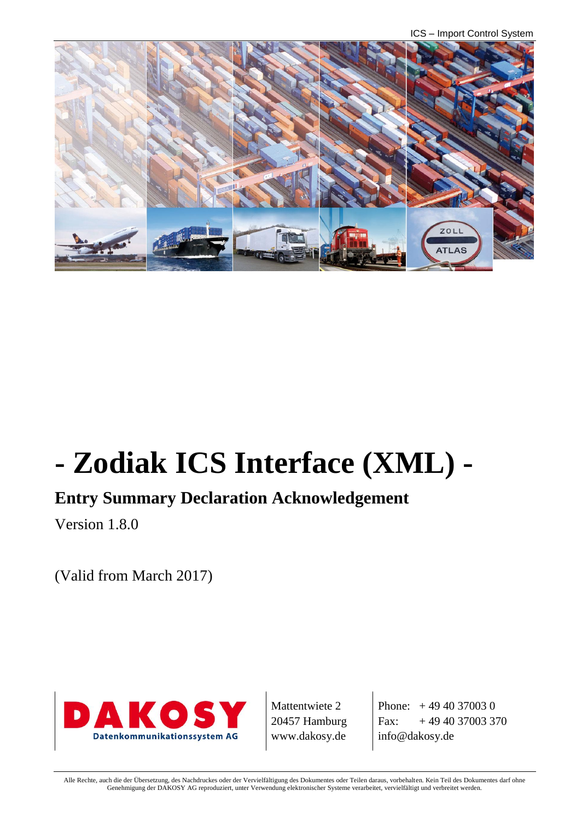ICS – Import Control System



# **- Zodiak ICS Interface (XML) -**

## **Entry Summary Declaration Acknowledgement**

Version 1.8.0

(Valid from March 2017)



Mattentwiete 2 20457 Hamburg www.dakosy.de

Phone:  $+4940370030$ Fax:  $+494037003370$ info@dakosy.de

Alle Rechte, auch die der Übersetzung, des Nachdruckes oder der Vervielfältigung des Dokumentes oder Teilen daraus, vorbehalten. Kein Teil des Dokumentes darf ohne Genehmigung der DAKOSY AG reproduziert, unter Verwendung elektronischer Systeme verarbeitet, vervielfältigt und verbreitet werden.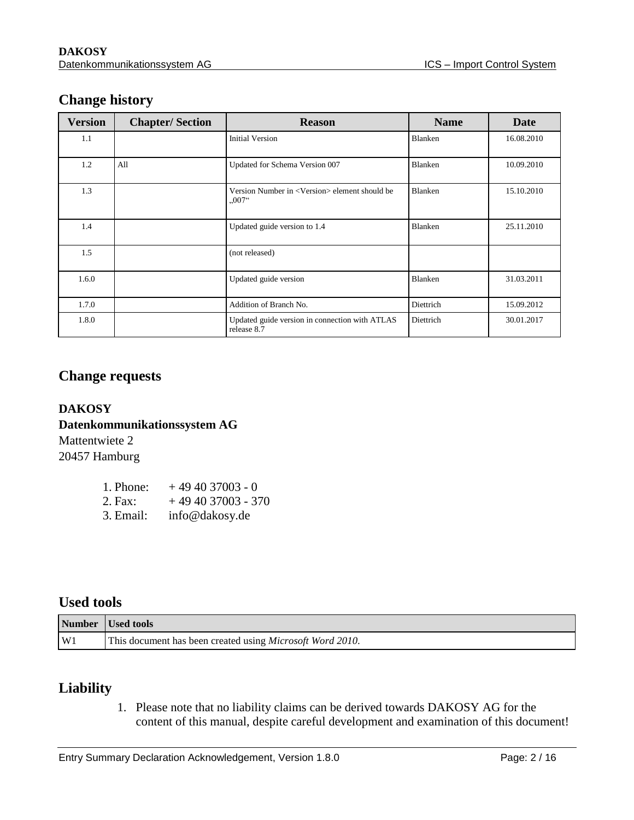## **Change history**

| <b>Version</b> | <b>Chapter/Section</b> | <b>Reason</b>                                                                              | <b>Name</b> | Date       |
|----------------|------------------------|--------------------------------------------------------------------------------------------|-------------|------------|
| 1.1            |                        | <b>Initial Version</b>                                                                     | Blanken     | 16.08.2010 |
| 1.2            | All                    | Updated for Schema Version 007                                                             | Blanken     | 10.09.2010 |
| 1.3            |                        | Version Number in <version> element should be<br/><math>0.007</math><sup>"</sup></version> | Blanken     | 15.10.2010 |
| 1.4            |                        | Updated guide version to 1.4                                                               | Blanken     | 25.11.2010 |
| 1.5            |                        | (not released)                                                                             |             |            |
| 1.6.0          |                        | Updated guide version                                                                      | Blanken     | 31.03.2011 |
| 1.7.0          |                        | Addition of Branch No.                                                                     | Diettrich   | 15.09.2012 |
| 1.8.0          |                        | Updated guide version in connection with ATLAS<br>release 8.7                              | Diettrich   | 30.01.2017 |

### **Change requests**

## **DAKOSY Datenkommunikationssystem AG**  Mattentwiete 2

20457 Hamburg

| 1. Phone: | $+494037003 - 0$   |
|-----------|--------------------|
| 2. Fax:   | $+494037003 - 370$ |
| 3. Email: | info@dakosy.de     |

## **Used tools**

|    | Number Used tools                                         |
|----|-----------------------------------------------------------|
| W1 | This document has been created using Microsoft Word 2010. |

## **Liability**

1. Please note that no liability claims can be derived towards DAKOSY AG for the content of this manual, despite careful development and examination of this document!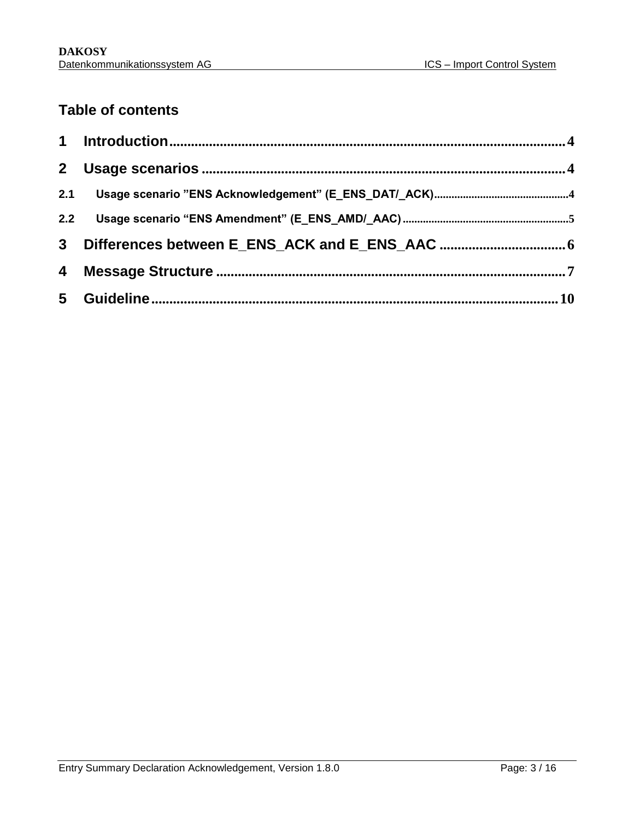## **Table of contents**

| 2 <sup>1</sup> |  |
|----------------|--|
| 2.1            |  |
| 2.2            |  |
| 3 <sup>1</sup> |  |
| 4              |  |
|                |  |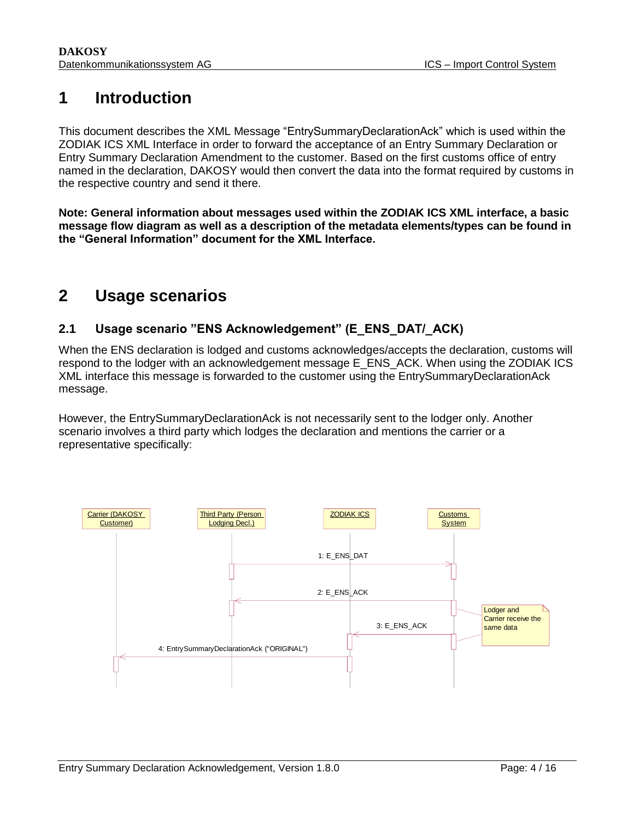## <span id="page-3-0"></span>**1 Introduction**

This document describes the XML Message "EntrySummaryDeclarationAck" which is used within the ZODIAK ICS XML Interface in order to forward the acceptance of an Entry Summary Declaration or Entry Summary Declaration Amendment to the customer. Based on the first customs office of entry named in the declaration, DAKOSY would then convert the data into the format required by customs in the respective country and send it there.

**Note: General information about messages used within the ZODIAK ICS XML interface, a basic message flow diagram as well as a description of the metadata elements/types can be found in the "General Information" document for the XML Interface.**

## <span id="page-3-1"></span>**2 Usage scenarios**

## <span id="page-3-2"></span>**2.1 Usage scenario "ENS Acknowledgement" (E\_ENS\_DAT/\_ACK)**

When the ENS declaration is lodged and customs acknowledges/accepts the declaration, customs will respond to the lodger with an acknowledgement message E\_ENS\_ACK. When using the ZODIAK ICS XML interface this message is forwarded to the customer using the EntrySummaryDeclarationAck message.

However, the EntrySummaryDeclarationAck is not necessarily sent to the lodger only. Another scenario involves a third party which lodges the declaration and mentions the carrier or a representative specifically:

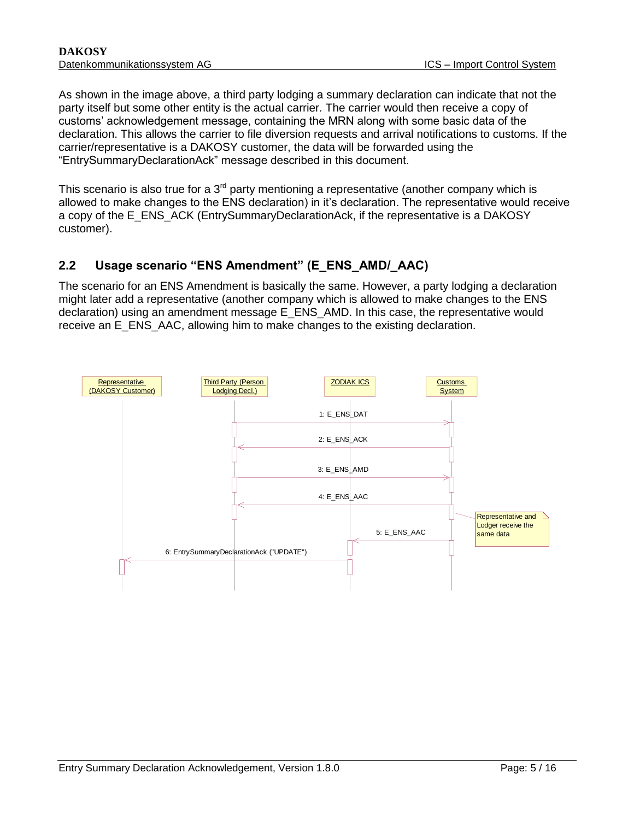As shown in the image above, a third party lodging a summary declaration can indicate that not the party itself but some other entity is the actual carrier. The carrier would then receive a copy of customs' acknowledgement message, containing the MRN along with some basic data of the declaration. This allows the carrier to file diversion requests and arrival notifications to customs. If the carrier/representative is a DAKOSY customer, the data will be forwarded using the "EntrySummaryDeclarationAck" message described in this document.

This scenario is also true for a  $3<sup>rd</sup>$  party mentioning a representative (another company which is allowed to make changes to the ENS declaration) in it's declaration. The representative would receive a copy of the E\_ENS\_ACK (EntrySummaryDeclarationAck, if the representative is a DAKOSY customer).

#### <span id="page-4-0"></span>**2.2 Usage scenario "ENS Amendment" (E\_ENS\_AMD/\_AAC)**

The scenario for an ENS Amendment is basically the same. However, a party lodging a declaration might later add a representative (another company which is allowed to make changes to the ENS declaration) using an amendment message E\_ENS\_AMD. In this case, the representative would receive an E\_ENS\_AAC, allowing him to make changes to the existing declaration.

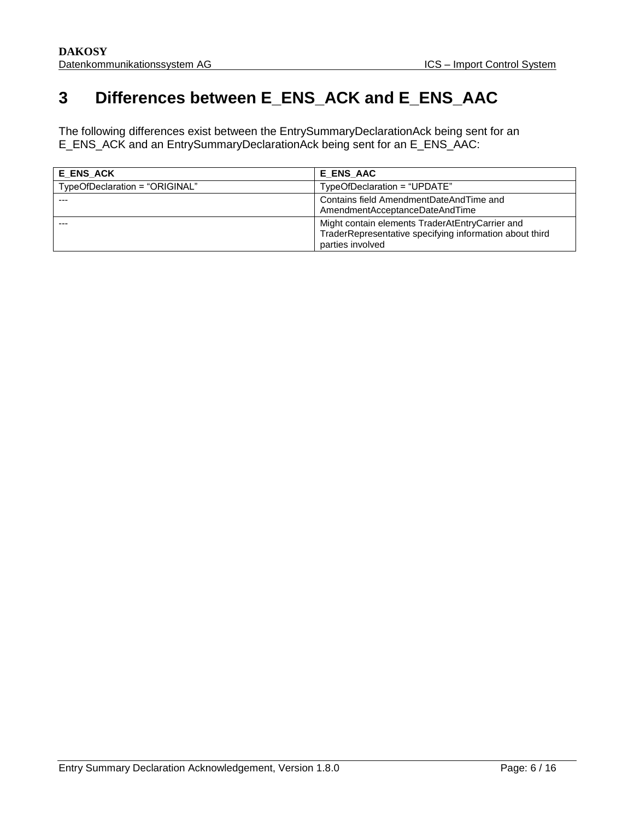## <span id="page-5-0"></span>**3 Differences between E\_ENS\_ACK and E\_ENS\_AAC**

The following differences exist between the EntrySummaryDeclarationAck being sent for an E\_ENS\_ACK and an EntrySummaryDeclarationAck being sent for an E\_ENS\_AAC:

| E ENS ACK                      | E ENS AAC                                                                                                                      |
|--------------------------------|--------------------------------------------------------------------------------------------------------------------------------|
| TypeOfDeclaration = "ORIGINAL" | TypeOfDeclaration = "UPDATE"                                                                                                   |
|                                | Contains field AmendmentDateAndTime and<br>AmendmentAcceptanceDateAndTime                                                      |
| ---                            | Might contain elements TraderAtEntryCarrier and<br>TraderRepresentative specifying information about third<br>parties involved |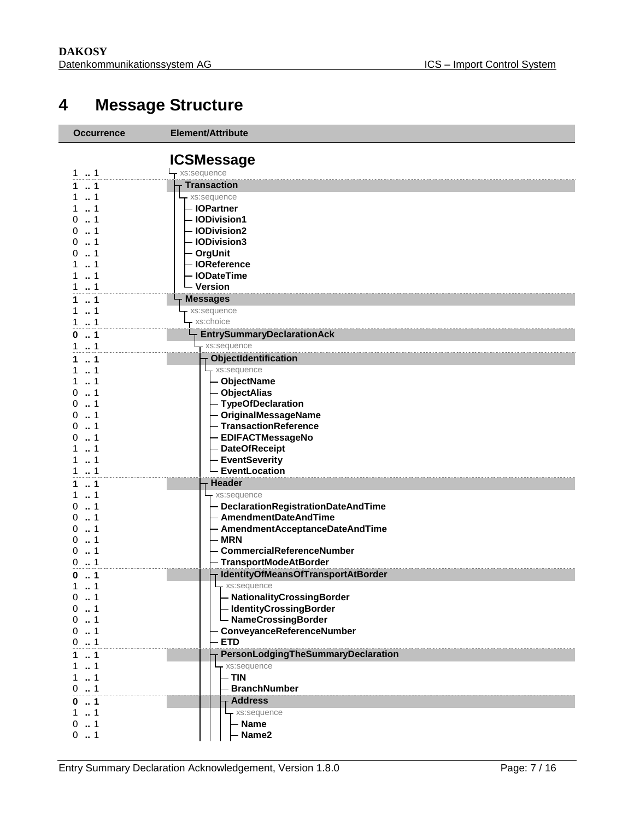## <span id="page-6-0"></span>**Message Structure**

| <b>Occurrence</b>        | <b>Element/Attribute</b>                       |
|--------------------------|------------------------------------------------|
|                          |                                                |
|                          | <b>ICSMessage</b>                              |
| 11                       | - xs:sequence                                  |
| $\ldots$ 1               | <b>Transaction</b>                             |
| 1                        | - xs:sequence                                  |
| $\ldots$ 1<br>O          | - IOPartner<br>- IODivision1                   |
| 1<br>O                   | - IODivision2                                  |
| 1<br>O                   | - IODivision3                                  |
| $\sim$ 1                 | - OrgUnit                                      |
| 1                        | - IOReference                                  |
| 1                        | <b>IODateTime</b>                              |
| 1<br>1                   | - Version                                      |
| $\ldots$ 1               | <b>Messages</b>                                |
| $\dots$ 1<br>1           | xs:sequence                                    |
| $\ldots$ 1<br>1          | xs:choice                                      |
| $\ldots$ 1               | <b>EntrySummaryDeclarationAck</b>              |
| 1<br>1                   | xs:sequence                                    |
| 1                        | ObjectIdentification                           |
| 1                        | xs:sequence                                    |
| 1<br>1<br>O              | <b>ObjectName</b>                              |
| 1<br>O                   | - ObjectAlias<br>- TypeOfDeclaration           |
| 1                        | - OriginalMessageName                          |
| 1<br>$\Omega$            | - TransactionReference                         |
| 1                        | <b>EDIFACTMessageNo</b>                        |
| 1                        | <b>DateOfReceipt</b>                           |
| 1                        | <b>EventSeverity</b>                           |
| 1<br>1.                  | EventLocation                                  |
| $\ldots$ 1               | <b>Header</b>                                  |
| 1                        | xs:sequence                                    |
| 1<br>0                   | - DeclarationRegistrationDateAndTime           |
| 1<br>O                   | - AmendmentDateAndTime                         |
| 1<br>O<br>1              | - AmendmentAcceptanceDateAndTime<br><b>MRN</b> |
| 1<br>0                   | <b>CommercialReferenceNumber</b>               |
| 0                        | <b>TransportModeAtBorder</b>                   |
| 1<br>0                   | IdentityOfMeansOfTransportAtBorder             |
| 1<br>1                   | - xs:sequence                                  |
| 0<br>1                   | NationalityCrossingBorder                      |
| 1<br>0                   | - IdentityCrossingBorder                       |
| 1<br>0                   | - NameCrossingBorder                           |
| 0<br>1                   | ConveyanceReferenceNumber                      |
| 01                       | <b>ETD</b>                                     |
| 1<br>1                   | <b>PersonLodgingTheSummaryDeclaration</b>      |
| $\ldots$ 1<br>1          | xs:sequence                                    |
| 1<br>1<br>0.1            | $-$ TIN<br><b>BranchNumber</b>                 |
|                          | <b>Address</b>                                 |
| $\dots$ 1<br>0<br>1<br>1 | xs:sequence                                    |
| 1<br>0                   | - Name                                         |
| 1<br>0                   | Name2                                          |
|                          |                                                |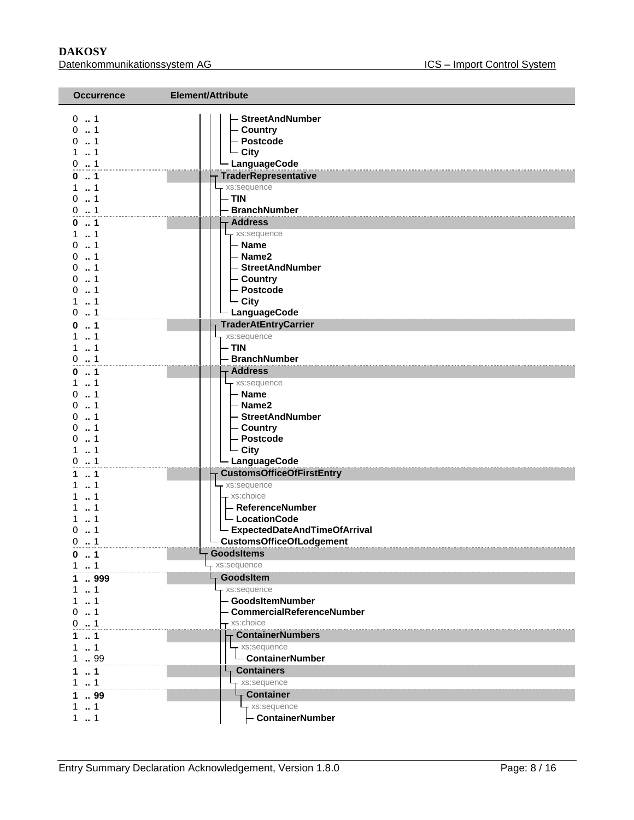#### **DAKOSY**<br>Datenkommunikationssystem AG<br>Datenkommunikationssystem AG<br>
Batenkommunikationssystem AG Datenkommunikationssystem AG

| <b>Occurrence</b>     | Element/Attribute                               |  |  |
|-----------------------|-------------------------------------------------|--|--|
| $0 \t  1$             | <b>StreetAndNumber</b>                          |  |  |
| 0.1                   | Country                                         |  |  |
| $0 \dots 1$<br>11     | - Postcode                                      |  |  |
| 0.1                   | $\overline{\phantom{a}}$ City<br>- LanguageCode |  |  |
| 0.1                   | <b>TraderRepresentative</b>                     |  |  |
| 11                    | - xs:sequence                                   |  |  |
| $0 \dots 1$           | - TIN                                           |  |  |
| 0.1                   | - BranchNumber                                  |  |  |
| 0.1                   | <b>Address</b>                                  |  |  |
| $1 \t  1$             | - xs:sequence                                   |  |  |
| 01                    | - Name                                          |  |  |
| 01                    | - Name2                                         |  |  |
| $0 \t  1$             | - StreetAndNumber                               |  |  |
| 0.1                   | - Country                                       |  |  |
| 01                    | - Postcode                                      |  |  |
| 11                    | $\overline{\phantom{a}}$ City                   |  |  |
| 01                    | - LanguageCode                                  |  |  |
| 0.1                   | <b>TraderAtEntryCarrier</b>                     |  |  |
| 11                    | - xs:sequence                                   |  |  |
| 11                    | $-$ TIN                                         |  |  |
| 0.1                   | - BranchNumber                                  |  |  |
| 01                    | <b>Address</b>                                  |  |  |
| 1.1                   | $-$ xs:sequence                                 |  |  |
| 01                    | - Name                                          |  |  |
| 01<br>01              | - Name2                                         |  |  |
| 0.1                   | - StreetAndNumber<br>- Country                  |  |  |
| 0.1                   | - Postcode                                      |  |  |
| $\dots$ 1<br>1        | $\overline{\phantom{a}}$ City                   |  |  |
| $0 \dots 1$           | - LanguageCode                                  |  |  |
| 1<br>1.               | <b>CustomsOfficeOfFirstEntry</b>                |  |  |
| 11                    | - xs:sequence                                   |  |  |
| $\dots$ 1<br>1.       | - xs:choice                                     |  |  |
| 1                     | - ReferenceNumber                               |  |  |
| 1<br>1                | $\overline{\phantom{a}}$ Location Code          |  |  |
| $\Omega$<br>$\dots$ 1 | - ExpectedDateAndTimeOfArrival                  |  |  |
| 0.1                   | <b>CustomsOfficeOfLodgement</b>                 |  |  |
| 1<br>0                | <b>GoodsItems</b>                               |  |  |
| $1 \t  1$             | xs:sequence                                     |  |  |
| 999<br>1.             | GoodsItem                                       |  |  |
| $1 \t{.} 1$           | xs:sequence                                     |  |  |
| 1.1                   | - GoodsItemNumber                               |  |  |
| 01                    | <b>CommercialReferenceNumber</b>                |  |  |
| 0.1                   | xs:choice                                       |  |  |
| 1                     | <b>ContainerNumbers</b>                         |  |  |
| $\dots$ 1<br>1.       | xs:sequence                                     |  |  |
| 1  99                 | - ContainerNumber                               |  |  |
| $\ldots$ 1<br>1       | <b>Containers</b>                               |  |  |
| 1.1                   | xs:sequence                                     |  |  |
| 1.99                  | - Container                                     |  |  |
| 11                    | - xs:sequence                                   |  |  |
| 11                    | - ContainerNumber                               |  |  |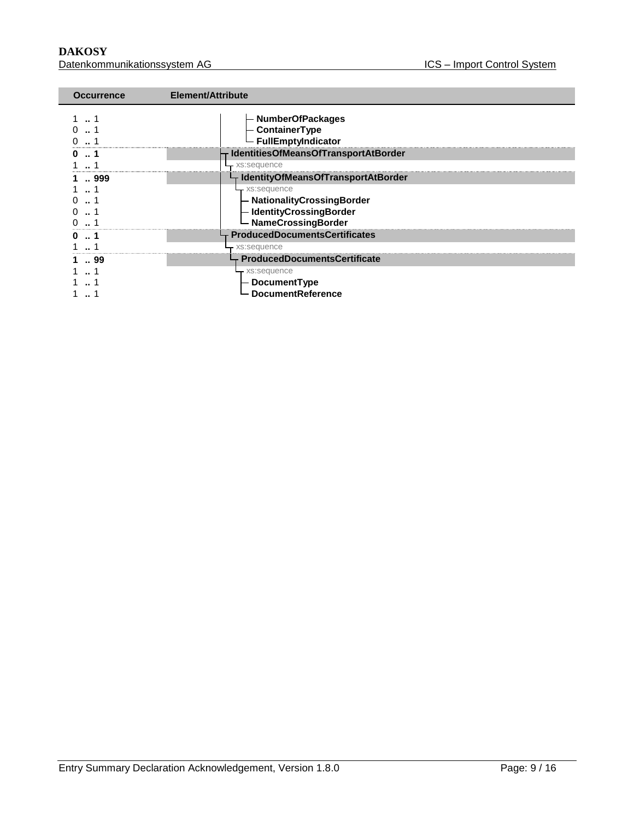**DAKOSY**<br>Datenkommunikationssystem AG<br>Datenkommunikationssystem AG<br>
Batenkommunikationssystem AG Datenkommunikationssystem AG

| <b>Occurrence</b> | Element/Attribute                                             |
|-------------------|---------------------------------------------------------------|
|                   | - NumberOfPackages<br>- ContainerType<br>- FullEmptyIndicator |
|                   | IdentitiesOfMeansOfTransportAtBorder                          |
|                   | xs:sequence                                                   |
| 999               | └┬ IdentityOfMeansOfTransportAtBorder                         |
|                   | - xs:sequence                                                 |
|                   | - NationalityCrossingBorder                                   |
|                   | - IdentityCrossingBorder                                      |
|                   | - NameCrossingBorder                                          |
| 1                 | ProducedDocumentsCertificates                                 |
|                   | - xs:sequence                                                 |
| 99                | $\vdash$ ProducedDocumentsCertificate                         |
|                   | - xs:sequence                                                 |
|                   | - DocumentType                                                |
|                   | <b>DocumentReference</b>                                      |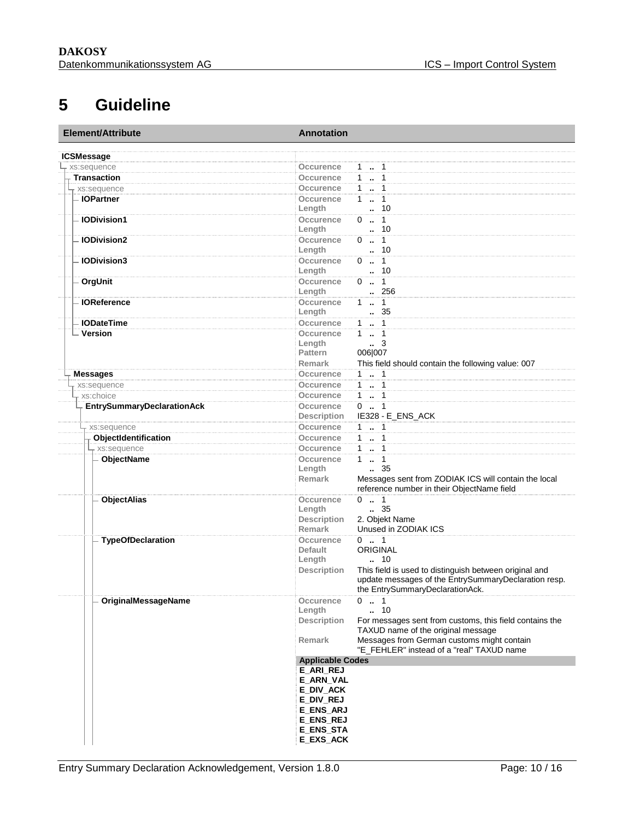## <span id="page-9-0"></span>**5 Guideline**

| Element/Attribute                 | <b>Annotation</b>                                                                          |  |
|-----------------------------------|--------------------------------------------------------------------------------------------|--|
| <b>ICSMessage</b>                 |                                                                                            |  |
| xs:sequence                       | <b>Occurence</b><br>$1 \t  1$                                                              |  |
| <b>Transaction</b>                | $1 - 1$<br>Occurence                                                                       |  |
| xs:sequence                       | Occurence<br>$1 \t  1$                                                                     |  |
| - IOPartner                       | 11<br>Occurence                                                                            |  |
|                                   | . 10<br>Length                                                                             |  |
| <b>IODivision1</b>                | $0 \t . 1$<br>Occurence                                                                    |  |
|                                   | $\cdot$ 10<br>Length                                                                       |  |
| <b>IODivision2</b>                | $0 \t . 1$<br>Occurence                                                                    |  |
|                                   | Length<br>. 10                                                                             |  |
| <b>IODivision3</b>                | $0 \t  1$<br>Occurence                                                                     |  |
|                                   | Length<br>. 10                                                                             |  |
| OrgUnit                           | $0 \t  1$<br>Occurence                                                                     |  |
|                                   | .256<br>Length                                                                             |  |
| <b>IOReference</b>                | $1 - 1$<br>Occurence                                                                       |  |
|                                   | Length<br>.35                                                                              |  |
| <b>IODateTime</b>                 | Occurence<br>$1 \t  1$                                                                     |  |
| Version                           | 1.1<br>Occurence                                                                           |  |
|                                   | Length<br>3                                                                                |  |
|                                   | 006 007<br>Pattern                                                                         |  |
|                                   | <b>Remark</b><br>This field should contain the following value: 007                        |  |
| <b>Messages</b>                   | $1 \t  \t 1$<br>Occurence                                                                  |  |
| xs:sequence                       | $1 - 1$<br>Occurence                                                                       |  |
| xs:choice                         | $1 - 1$<br>Occurence                                                                       |  |
| <b>EntrySummaryDeclarationAck</b> | $0 \t  \t 1$<br>Occurence                                                                  |  |
|                                   | IE328 - E_ENS_ACK<br><b>Description</b>                                                    |  |
| xs:sequence                       | 1  1<br>Occurence                                                                          |  |
| ObjectIdentification              | $1 - 1$<br>Occurence                                                                       |  |
| - xs:sequence                     | $1 - 1$<br>Occurence                                                                       |  |
| ObjectName                        | $1 - 1$<br>Occurence                                                                       |  |
|                                   | Length<br>$\frac{1}{2}$ 35<br>Messages sent from ZODIAK ICS will contain the local         |  |
|                                   | <b>Remark</b><br>reference number in their ObjectName field                                |  |
| <b>ObjectAlias</b>                | $0 \t  1$<br>Occurence                                                                     |  |
|                                   | $\frac{35}{2}$<br>Length                                                                   |  |
|                                   | 2. Objekt Name<br><b>Description</b>                                                       |  |
|                                   | Unused in ZODIAK ICS<br><b>Remark</b>                                                      |  |
| <b>TypeOfDeclaration</b>          | $0 \t  1$<br>Occurence                                                                     |  |
|                                   | <b>ORIGINAL</b><br><b>Default</b>                                                          |  |
|                                   | Length<br>10                                                                               |  |
|                                   | This field is used to distinguish between original and<br><b>Description</b>               |  |
|                                   | update messages of the EntrySummaryDeclaration resp.                                       |  |
|                                   | the EntrySummaryDeclarationAck.                                                            |  |
| <b>OriginalMessageName</b>        | $0 \t  1$<br>Occurence                                                                     |  |
|                                   | 10<br>Length<br>$\ddot{\phantom{a}}$                                                       |  |
|                                   | <b>Description</b><br>For messages sent from customs, this field contains the              |  |
|                                   | TAXUD name of the original message<br>Messages from German customs might contain<br>Remark |  |
|                                   | "E_FEHLER" instead of a "real" TAXUD name                                                  |  |
|                                   | <b>Applicable Codes</b>                                                                    |  |
|                                   | <b>E_ARI_REJ</b>                                                                           |  |
|                                   | E_ARN_VAL                                                                                  |  |
|                                   | E_DIV_ACK                                                                                  |  |
|                                   | E DIV REJ                                                                                  |  |
|                                   | E_ENS_ARJ                                                                                  |  |
|                                   | <b>E_ENS_REJ</b>                                                                           |  |
|                                   | E_ENS_STA                                                                                  |  |
|                                   | E_EXS_ACK                                                                                  |  |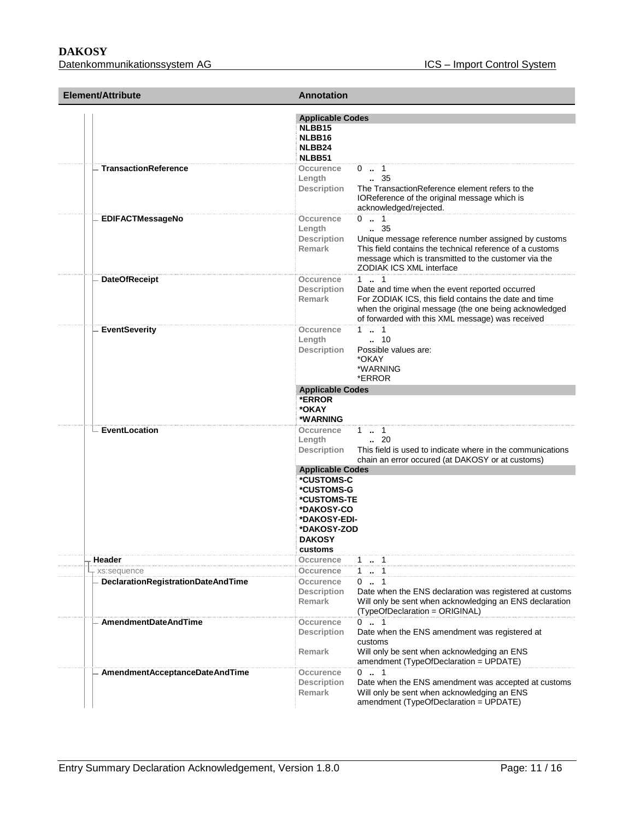#### **DAKOSY**

Datenkommunikationssystem AG ICS – Import Control System

| Element/Attribute                  | <b>Annotation</b>                                                                                                |                                                                                                                                                                                                                                      |
|------------------------------------|------------------------------------------------------------------------------------------------------------------|--------------------------------------------------------------------------------------------------------------------------------------------------------------------------------------------------------------------------------------|
|                                    | <b>Applicable Codes</b><br>NLBB15<br>NLBB16<br>NLBB24<br>NLBB51                                                  |                                                                                                                                                                                                                                      |
| <b>TransactionReference</b>        | Occurence<br>Length<br><b>Description</b>                                                                        | $0 \t  1$<br>$\frac{35}{2}$<br>The TransactionReference element refers to the<br>IOReference of the original message which is<br>acknowledged/rejected.                                                                              |
| <b>EDIFACTMessageNo</b>            | Occurence<br>Length<br><b>Description</b><br><b>Remark</b>                                                       | $0 \t  1$<br>$\frac{35}{2}$<br>Unique message reference number assigned by customs<br>This field contains the technical reference of a customs<br>message which is transmitted to the customer via the<br>ZODIAK ICS XML interface   |
| <b>DateOfReceipt</b>               | Occurence<br><b>Description</b><br><b>Remark</b>                                                                 | $1 \t  \t 1$<br>Date and time when the event reported occurred<br>For ZODIAK ICS, this field contains the date and time<br>when the original message (the one being acknowledged<br>of forwarded with this XML message) was received |
| <b>EventSeverity</b>               | Occurence<br>Length<br><b>Description</b>                                                                        | $1 \t  \t 1$<br>$\cdot$ 10<br>Possible values are:<br>*OKAY<br>*WARNING<br>*ERROR                                                                                                                                                    |
|                                    | <b>Applicable Codes</b><br>*ERROR<br>*OKAY<br>*WARNING                                                           |                                                                                                                                                                                                                                      |
| EventLocation                      | Occurence<br>Length<br><b>Description</b><br><b>Applicable Codes</b>                                             | $1 - 1$<br>$\cdot$ 20<br>This field is used to indicate where in the communications<br>chain an error occured (at DAKOSY or at customs)                                                                                              |
|                                    | *CUSTOMS-C<br>*CUSTOMS-G<br>*CUSTOMS-TE<br>*DAKOSY-CO<br>*DAKOSY-EDI-<br>*DAKOSY-ZOD<br><b>DAKOSY</b><br>customs |                                                                                                                                                                                                                                      |
| Header                             | Occurence                                                                                                        | $1 - 1$                                                                                                                                                                                                                              |
| xs:sequence                        | <b>Occurence</b>                                                                                                 | $1 - 1$                                                                                                                                                                                                                              |
| DeclarationRegistrationDateAndTime | Occurence<br><b>Description</b><br>Remark                                                                        | 0.1<br>Date when the ENS declaration was registered at customs<br>Will only be sent when acknowledging an ENS declaration<br>(TypeOfDeclaration = ORIGINAL)                                                                          |
| <b>AmendmentDateAndTime</b>        | Occurence<br><b>Description</b><br>Remark                                                                        | $0$ . 1<br>Date when the ENS amendment was registered at<br>customs<br>Will only be sent when acknowledging an ENS<br>amendment (TypeOfDeclaration = UPDATE)                                                                         |
| AmendmentAcceptanceDateAndTime     | Occurence<br><b>Description</b><br>Remark                                                                        | $0 \t  1$<br>Date when the ENS amendment was accepted at customs<br>Will only be sent when acknowledging an ENS<br>amendment (TypeOfDeclaration = UPDATE)                                                                            |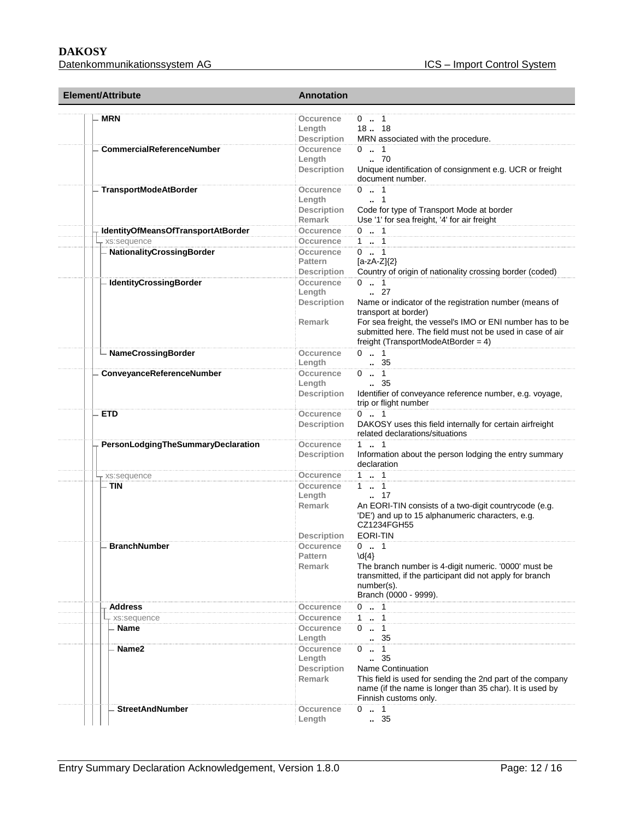#### **DAKOSY**  Datenkommunikationssystem AG

| <b>Element/Attribute</b>           | <b>Annotation</b>                                                 |                                                                                                                                                                                                                                                                                |
|------------------------------------|-------------------------------------------------------------------|--------------------------------------------------------------------------------------------------------------------------------------------------------------------------------------------------------------------------------------------------------------------------------|
| <b>MRN</b>                         | Occurence<br>Length<br><b>Description</b>                         | $0 \dots 1$<br>18. 18<br>MRN associated with the procedure.                                                                                                                                                                                                                    |
| <b>CommercialReferenceNumber</b>   | Occurence<br>Length<br><b>Description</b>                         | $0 \t  1$<br>.70<br>Unique identification of consignment e.g. UCR or freight<br>document number.                                                                                                                                                                               |
| <b>TransportModeAtBorder</b>       | <b>Occurence</b><br>Length<br><b>Description</b><br><b>Remark</b> | $0 \t  1$<br>$\cdot$ 1<br>Code for type of Transport Mode at border<br>Use '1' for sea freight, '4' for air freight                                                                                                                                                            |
| IdentityOfMeansOfTransportAtBorder | Occurence                                                         | $0 \t . 1$                                                                                                                                                                                                                                                                     |
| xs:sequence                        | Occurence                                                         | $1 - 1$                                                                                                                                                                                                                                                                        |
| NationalityCrossingBorder          | Occurence<br><b>Pattern</b><br><b>Description</b>                 | $0 \t  1$<br>$[a-zA-Z](2)$<br>Country of origin of nationality crossing border (coded)                                                                                                                                                                                         |
| <b>IdentityCrossingBorder</b>      | Occurence<br>Length<br><b>Description</b><br><b>Remark</b>        | $0 \t  1$<br>$\ldots$ 27<br>Name or indicator of the registration number (means of<br>transport at border)<br>For sea freight, the vessel's IMO or ENI number has to be<br>submitted here. The field must not be used in case of air<br>freight (TransportModeAtBorder = $4$ ) |
| - NameCrossingBorder               | Occurence<br>Length                                               | $0 \t  1$<br>$\, 35$                                                                                                                                                                                                                                                           |
| ConveyanceReferenceNumber          | Occurence<br>Length<br><b>Description</b>                         | $0 \t . 1$<br>35<br>Identifier of conveyance reference number, e.g. voyage,<br>trip or flight number                                                                                                                                                                           |
| <b>ETD</b>                         | Occurence<br><b>Description</b>                                   | $0 \t . 1$<br>DAKOSY uses this field internally for certain airfreight<br>related declarations/situations                                                                                                                                                                      |
| PersonLodgingTheSummaryDeclaration | Occurence<br><b>Description</b>                                   | $1 \t  \t 1$<br>Information about the person lodging the entry summary<br>declaration                                                                                                                                                                                          |
| xs:sequence                        | Occurence                                                         | 1  1                                                                                                                                                                                                                                                                           |
| - TIN                              | Occurence<br>Length<br><b>Remark</b>                              | $1 \t  \t 1$<br>$\cdot$ 17<br>An EORI-TIN consists of a two-digit countrycode (e.g.<br>'DE') and up to 15 alphanumeric characters, e.g.<br>CZ1234FGH55                                                                                                                         |
|                                    | <b>Description</b>                                                | EORI-TIN                                                                                                                                                                                                                                                                       |
| <b>BranchNumber</b>                | Occurence<br>Pattern<br>Remark                                    | $0 \t  1$<br>$\{4\}$<br>The branch number is 4-digit numeric. '0000' must be<br>transmitted, if the participant did not apply for branch<br>number(s).<br>Branch (0000 - 9999).                                                                                                |
| <b>Address</b>                     | Occurence                                                         | $0 \t  1$                                                                                                                                                                                                                                                                      |
| xs:sequence                        | Occurence                                                         | $1 - 1$                                                                                                                                                                                                                                                                        |
| Name                               | Occurence<br>Length                                               | $\cdots$ 1<br>0<br>.35                                                                                                                                                                                                                                                         |
| Name2                              | Occurence<br>Length<br><b>Description</b><br><b>Remark</b>        | $\mathbf{1}$<br>$0 \dots$<br>$\ldots$ 35<br><b>Name Continuation</b><br>This field is used for sending the 2nd part of the company<br>name (if the name is longer than 35 char). It is used by<br>Finnish customs only.                                                        |
| <b>StreetAndNumber</b>             | Occurence<br>Length                                               | $0 \t . 1$<br>35                                                                                                                                                                                                                                                               |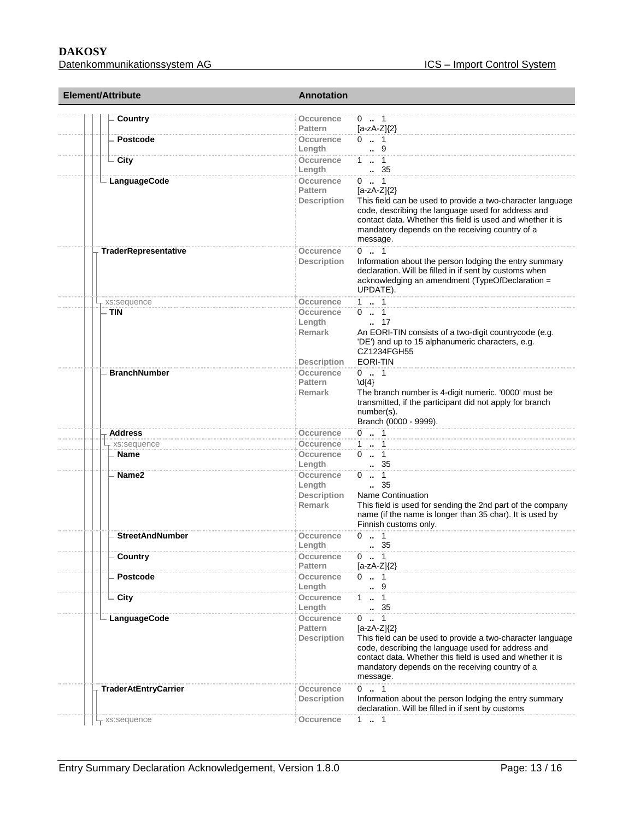#### **DAKOSY**  Datenkommunikationssystem AG ICS – Import Control System

| Element/Attribute           | <b>Annotation</b>                                                                                                                                                                                                                                                                                                                  |
|-----------------------------|------------------------------------------------------------------------------------------------------------------------------------------------------------------------------------------------------------------------------------------------------------------------------------------------------------------------------------|
|                             | $0 \t  1$<br>Occurence                                                                                                                                                                                                                                                                                                             |
| Country                     | <b>Pattern</b><br>$[a-zA-Z]\{2\}$                                                                                                                                                                                                                                                                                                  |
| Postcode                    | $0 \t . 1$<br>Occurence<br>$\cdot$ 9<br>Length                                                                                                                                                                                                                                                                                     |
| - City                      | $1 \t  1$<br>Occurence<br>. 35<br>Length                                                                                                                                                                                                                                                                                           |
| LanguageCode                | <b>Occurence</b><br>$0 \t  1$                                                                                                                                                                                                                                                                                                      |
|                             | <b>Pattern</b><br>$[a-zA-Z](2)$<br>This field can be used to provide a two-character language<br>Description<br>code, describing the language used for address and<br>contact data. Whether this field is used and whether it is<br>mandatory depends on the receiving country of a<br>message.                                    |
| TraderRepresentative        | $0 \t . 1$<br><b>Occurence</b><br>Information about the person lodging the entry summary<br><b>Description</b><br>declaration. Will be filled in if sent by customs when<br>acknowledging an amendment (TypeOfDeclaration =<br>UPDATE).                                                                                            |
| <sub>r</sub> xs:sequence    | $1 \quad 1$<br>Occurence                                                                                                                                                                                                                                                                                                           |
| <b>TIN</b>                  | $0 \t . 1$<br>Occurence                                                                                                                                                                                                                                                                                                            |
|                             | Length<br>$\ldots$ 17<br>Remark<br>An EORI-TIN consists of a two-digit countrycode (e.g.<br>'DE') and up to 15 alphanumeric characters, e.g.<br>CZ1234FGH55                                                                                                                                                                        |
|                             | EORI-TIN<br><b>Description</b>                                                                                                                                                                                                                                                                                                     |
| <b>BranchNumber</b>         | Occurence<br>$0$ . 1<br><b>Pattern</b><br>$\{4\}$<br><b>Remark</b><br>The branch number is 4-digit numeric. '0000' must be<br>transmitted, if the participant did not apply for branch<br>number(s).<br>Branch (0000 - 9999).                                                                                                      |
| <b>Address</b>              | $0 \t . 1$<br>Occurence                                                                                                                                                                                                                                                                                                            |
| xs:sequence                 | $1 - 1$<br>Occurence                                                                                                                                                                                                                                                                                                               |
| Name                        | $0 \t  1$<br>Occurence<br>Length<br>35                                                                                                                                                                                                                                                                                             |
| Name <sub>2</sub>           | $0 \t  \t 1$<br>Occurence<br>35<br>Length<br><b>Description</b><br><b>Name Continuation</b><br>Remark<br>This field is used for sending the 2nd part of the company<br>name (if the name is longer than 35 char). It is used by<br>Finnish customs only.                                                                           |
| <b>StreetAndNumber</b>      | $0 \t  1$<br>Occurence<br>Length<br>35                                                                                                                                                                                                                                                                                             |
| Country                     | $0 \t  1$<br>Occurence<br>Pattern<br>$[a-zA-Z]\{2\}$                                                                                                                                                                                                                                                                               |
| <b>Postcode</b>             | $0 \t  1$<br>Occurence<br>$\ldots$ 9<br>Length                                                                                                                                                                                                                                                                                     |
| - City                      | $1 - 1$<br>Occurence<br>35<br>Length                                                                                                                                                                                                                                                                                               |
| <b>LanguageCode</b>         | $0 \t  1$<br>Occurence<br><b>Pattern</b><br>$[a-zA-Z]\{2\}$<br><b>Description</b><br>This field can be used to provide a two-character language<br>code, describing the language used for address and<br>contact data. Whether this field is used and whether it is<br>mandatory depends on the receiving country of a<br>message. |
| <b>TraderAtEntryCarrier</b> | $0 \t  1$<br>Occurence<br>Information about the person lodging the entry summary<br><b>Description</b><br>declaration. Will be filled in if sent by customs                                                                                                                                                                        |
| xs:sequence                 | Occurence<br>1 . 1                                                                                                                                                                                                                                                                                                                 |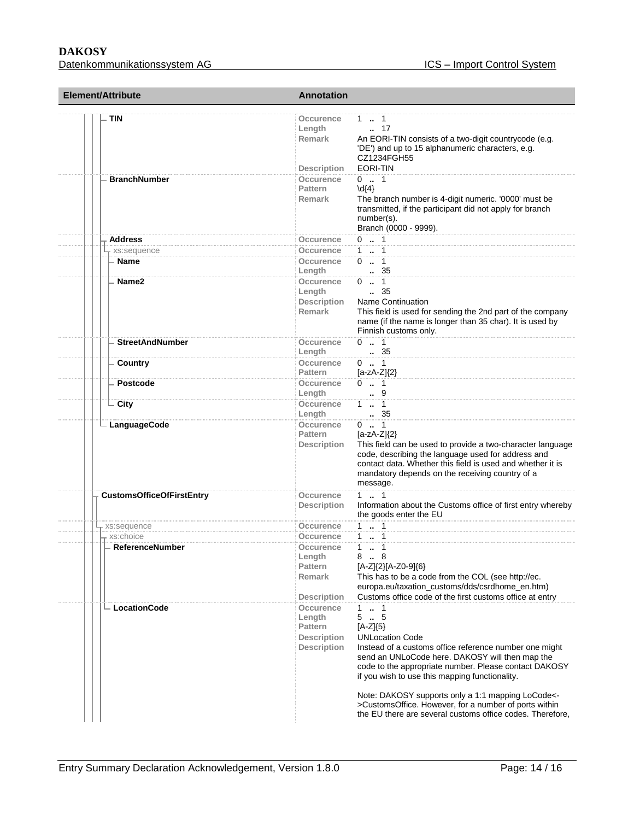## **DAKOSY**

| <b>Element/Attribute</b>         | <b>Annotation</b>                                                                                                                                                                                                                                                                                                                                                                                                                                                                                                                                  |
|----------------------------------|----------------------------------------------------------------------------------------------------------------------------------------------------------------------------------------------------------------------------------------------------------------------------------------------------------------------------------------------------------------------------------------------------------------------------------------------------------------------------------------------------------------------------------------------------|
| TIN                              | Occurence<br>1.1<br>$\ldots$ 17<br>Length<br>Remark<br>An EORI-TIN consists of a two-digit countrycode (e.g.<br>'DE') and up to 15 alphanumeric characters, e.g.<br>CZ1234FGH55                                                                                                                                                                                                                                                                                                                                                                    |
| <b>BranchNumber</b>              | EORI-TIN<br><b>Description</b><br>$0 \t  1$<br><b>Occurence</b><br><b>Pattern</b><br>$\{4\}$<br>Remark<br>The branch number is 4-digit numeric. '0000' must be<br>transmitted, if the participant did not apply for branch<br>number(s).<br>Branch (0000 - 9999).                                                                                                                                                                                                                                                                                  |
|                                  | $0 \t  1$                                                                                                                                                                                                                                                                                                                                                                                                                                                                                                                                          |
| <b>Address</b>                   | Occurence                                                                                                                                                                                                                                                                                                                                                                                                                                                                                                                                          |
| xs:sequence                      | 1  1<br>Occurence                                                                                                                                                                                                                                                                                                                                                                                                                                                                                                                                  |
| - Name                           | $0 \t . 1$<br>Occurence<br>. 35<br>Length                                                                                                                                                                                                                                                                                                                                                                                                                                                                                                          |
| Name2                            | Occurence<br>$0 \t  1$<br>$\, 35$<br>Length<br>Description<br><b>Name Continuation</b><br><b>Remark</b><br>This field is used for sending the 2nd part of the company<br>name (if the name is longer than 35 char). It is used by<br>Finnish customs only.                                                                                                                                                                                                                                                                                         |
| <b>StreetAndNumber</b>           | $0 \t . 1$<br>Occurence<br>. 35<br>Length                                                                                                                                                                                                                                                                                                                                                                                                                                                                                                          |
| Country                          | Occurence<br>$0 \t  1$<br><b>Pattern</b><br>$[a-zA-Z]\{2\}$                                                                                                                                                                                                                                                                                                                                                                                                                                                                                        |
| Postcode                         | $0 \t  1$<br>Occurence<br>$\cdot$ 9<br>Length                                                                                                                                                                                                                                                                                                                                                                                                                                                                                                      |
| - City                           | $1 \t  \t 1$<br>Occurence<br>. 35<br>Length                                                                                                                                                                                                                                                                                                                                                                                                                                                                                                        |
| - LanguageCode                   | Occurence<br>$0 \t  1$<br>$[a-zA-Z]/2$<br><b>Pattern</b><br>This field can be used to provide a two-character language<br><b>Description</b><br>code, describing the language used for address and<br>contact data. Whether this field is used and whether it is<br>mandatory depends on the receiving country of a<br>message.                                                                                                                                                                                                                    |
| <b>CustomsOfficeOfFirstEntry</b> | $1 - 1$<br>Occurence<br>Information about the Customs office of first entry whereby<br><b>Description</b><br>the goods enter the EU                                                                                                                                                                                                                                                                                                                                                                                                                |
| xs:sequence                      | $1 - 1$<br>Occurence                                                                                                                                                                                                                                                                                                                                                                                                                                                                                                                               |
| - xs:choice                      | $1 - 1$<br>Occurence                                                                                                                                                                                                                                                                                                                                                                                                                                                                                                                               |
| - ReferenceNumber                | $1 - 1$<br>Occurence<br>88<br>Length<br><b>Pattern</b><br>[A-Z]{2}[A-Z0-9]{6}<br>This has to be a code from the COL (see http://ec.<br><b>Remark</b><br>europa.eu/taxation_customs/dds/csrdhome_en.htm)<br>Customs office code of the first customs office at entry<br><b>Description</b>                                                                                                                                                                                                                                                          |
| - LocationCode                   | 1<br>1<br>Occurence<br>$5-.5$<br>Length<br>$[A-Z]\{5\}$<br><b>Pattern</b><br><b>UNLocation Code</b><br><b>Description</b><br><b>Description</b><br>Instead of a customs office reference number one might<br>send an UNLoCode here. DAKOSY will then map the<br>code to the appropriate number. Please contact DAKOSY<br>if you wish to use this mapping functionality.<br>Note: DAKOSY supports only a 1:1 mapping LoCode<-<br>>CustomsOffice. However, for a number of ports within<br>the EU there are several customs office codes. Therefore, |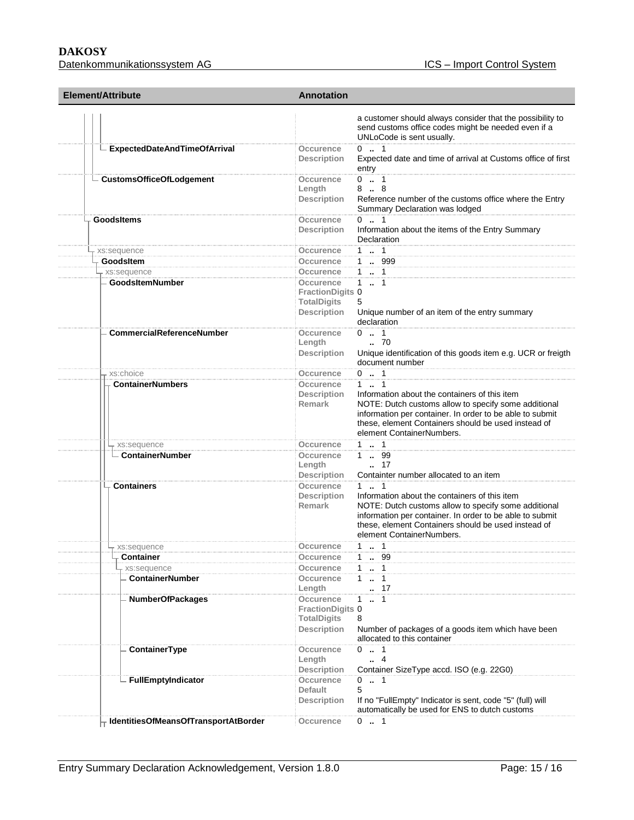## **DAKOSY**

| Element/Attribute                     | <b>Annotation</b>                                                                |                                                                                                                                                                                                                                                                    |
|---------------------------------------|----------------------------------------------------------------------------------|--------------------------------------------------------------------------------------------------------------------------------------------------------------------------------------------------------------------------------------------------------------------|
|                                       |                                                                                  | a customer should always consider that the possibility to<br>send customs office codes might be needed even if a<br>UNLoCode is sent usually.                                                                                                                      |
| ExpectedDateAndTimeOfArrival          | Occurence<br><b>Description</b>                                                  | $0 \t  1$<br>Expected date and time of arrival at Customs office of first<br>entry                                                                                                                                                                                 |
| - CustomsOfficeOfLodgement            | Occurence<br>Length<br>Description                                               | $0 \t  1$<br>88<br>Reference number of the customs office where the Entry<br>Summary Declaration was lodged                                                                                                                                                        |
| <b>GoodsItems</b>                     | Occurence<br><b>Description</b>                                                  | $0 \t  1$<br>Information about the items of the Entry Summary<br>Declaration                                                                                                                                                                                       |
| r xs:sequence                         | <b>Occurence</b>                                                                 | $1 \quad 1$                                                                                                                                                                                                                                                        |
| GoodsItem                             | Occurence                                                                        | 1 . 999                                                                                                                                                                                                                                                            |
| - xs:sequence                         | <b>Occurence</b>                                                                 | 1  1                                                                                                                                                                                                                                                               |
| - GoodsItemNumber                     | Occurence<br><b>FractionDigits 0</b><br><b>TotalDigits</b><br><b>Description</b> | $1 - 1$<br>5<br>Unique number of an item of the entry summary                                                                                                                                                                                                      |
|                                       |                                                                                  | declaration                                                                                                                                                                                                                                                        |
| <b>CommercialReferenceNumber</b>      | <b>Occurence</b><br>Length<br><b>Description</b>                                 | $0 \t  1$<br>$\cdot$ 70<br>Unique identification of this goods item e.g. UCR or freigth                                                                                                                                                                            |
|                                       |                                                                                  | document number                                                                                                                                                                                                                                                    |
| xs:choice<br><b>ContainerNumbers</b>  | Occurence<br>Occurence                                                           | $0 \t  1$<br>$1 \t  \t 1$                                                                                                                                                                                                                                          |
|                                       | <b>Description</b><br><b>Remark</b>                                              | Information about the containers of this item<br>NOTE: Dutch customs allow to specify some additional<br>information per container. In order to be able to submit<br>these, element Containers should be used instead of<br>element ContainerNumbers.              |
| - xs:sequence                         | Occurence                                                                        | $1 - 1$                                                                                                                                                                                                                                                            |
| - ContainerNumber                     | Occurence<br>Length<br><b>Description</b>                                        | 1 . 99<br>$\ldots$ 17<br>Containter number allocated to an item                                                                                                                                                                                                    |
| <b>Containers</b>                     | Occurence<br>Description<br><b>Remark</b>                                        | $1 \t  1$<br>Information about the containers of this item<br>NOTE: Dutch customs allow to specify some additional<br>information per container. In order to be able to submit<br>these, element Containers should be used instead of<br>element ContainerNumbers. |
| - xs:sequence                         | Occurence                                                                        | $1 \t  1$                                                                                                                                                                                                                                                          |
| <b>Container</b>                      | Occurence                                                                        | 1 . 99                                                                                                                                                                                                                                                             |
| xs:sequence<br><b>ContainerNumber</b> | Occurence<br>Occurence<br>Length                                                 | 1 . 1<br>$\dots$ 1<br>1.<br>$\cdot$ 17                                                                                                                                                                                                                             |
| <b>NumberOfPackages</b>               | Occurence<br><b>FractionDigits 0</b><br><b>TotalDigits</b><br>Description        | $1 \t  1$<br>8<br>Number of packages of a goods item which have been<br>allocated to this container                                                                                                                                                                |
| ContainerType                         | <b>Occurence</b><br>Length                                                       | $0 \t  1$<br>4                                                                                                                                                                                                                                                     |
|                                       | <b>Description</b>                                                               | Container SizeType accd. ISO (e.g. 22G0)                                                                                                                                                                                                                           |
| <b>FullEmptyIndicator</b>             | Occurence<br>Default                                                             | $0 \t  1$<br>5<br>If no "FullEmpty" Indicator is sent, code "5" (full) will                                                                                                                                                                                        |
| IdentitiesOfMeansOfTransportAtBorder  | <b>Description</b><br>Occurence                                                  | automatically be used for ENS to dutch customs<br>$0 \t  1$                                                                                                                                                                                                        |
|                                       |                                                                                  |                                                                                                                                                                                                                                                                    |